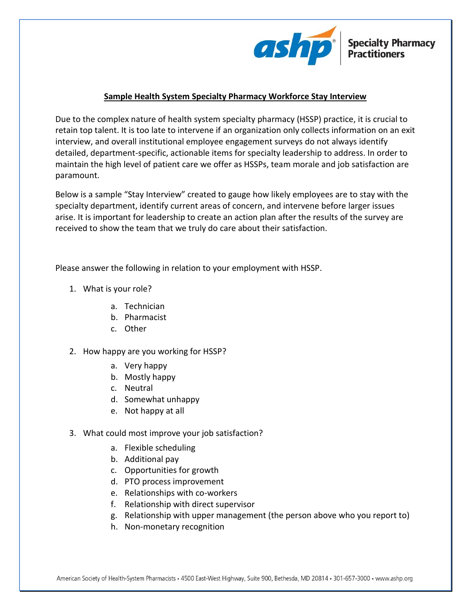

## **Sample Health System Specialty Pharmacy Workforce Stay Interview**

Due to the complex nature of health system specialty pharmacy (HSSP) practice, it is crucial to retain top talent. It is too late to intervene if an organization only collects information on an exit interview, and overall institutional employee engagement surveys do not always identify detailed, department-specific, actionable items for specialty leadership to address. In order to maintain the high level of patient care we offer as HSSPs, team morale and job satisfaction are paramount.

Below is a sample "Stay Interview" created to gauge how likely employees are to stay with the specialty department, identify current areas of concern, and intervene before larger issues arise. It is important for leadership to create an action plan after the results of the survey are received to show the team that we truly do care about their satisfaction.

Please answer the following in relation to your employment with HSSP.

- 1. What is your role?
	- a. Technician
	- b. Pharmacist
	- c. Other
- 2. How happy are you working for HSSP?
	- a. Very happy
	- b. Mostly happy
	- c. Neutral
	- d. Somewhat unhappy
	- e. Not happy at all
- 3. What could most improve your job satisfaction?
	- a. Flexible scheduling
	- b. Additional pay
	- c. Opportunities for growth
	- d. PTO process improvement
	- e. Relationships with co-workers
	- f. Relationship with direct supervisor
	- g. Relationship with upper management (the person above who you report to)
	- h. Non-monetary recognition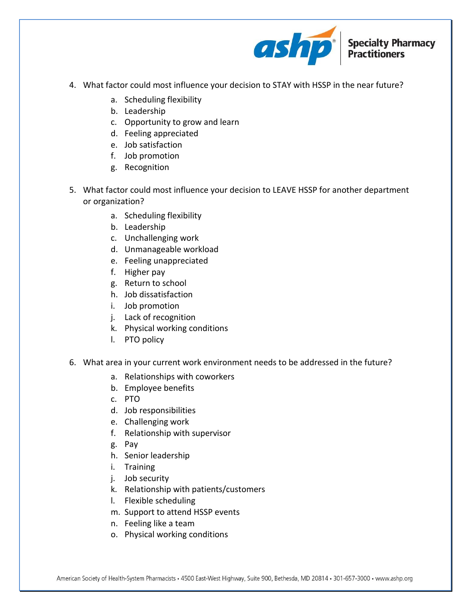

- 4. What factor could most influence your decision to STAY with HSSP in the near future?
	- a. Scheduling flexibility
	- b. Leadership
	- c. Opportunity to grow and learn
	- d. Feeling appreciated
	- e. Job satisfaction
	- f. Job promotion
	- g. Recognition
- 5. What factor could most influence your decision to LEAVE HSSP for another department or organization?
	- a. Scheduling flexibility
	- b. Leadership
	- c. Unchallenging work
	- d. Unmanageable workload
	- e. Feeling unappreciated
	- f. Higher pay
	- g. Return to school
	- h. Job dissatisfaction
	- i. Job promotion
	- j. Lack of recognition
	- k. Physical working conditions
	- l. PTO policy
- 6. What area in your current work environment needs to be addressed in the future?
	- a. Relationships with coworkers
	- b. Employee benefits
	- c. PTO
	- d. Job responsibilities
	- e. Challenging work
	- f. Relationship with supervisor
	- g. Pay
	- h. Senior leadership
	- i. Training
	- j. Job security
	- k. Relationship with patients/customers
	- l. Flexible scheduling
	- m. Support to attend HSSP events
	- n. Feeling like a team
	- o. Physical working conditions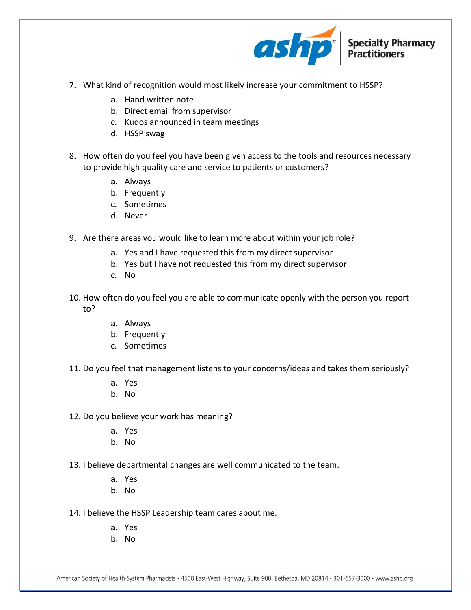

- 7. What kind of recognition would most likely increase your commitment to HSSP?
	- a. Hand written note
	- b. Direct email from supervisor
	- c. Kudos announced in team meetings
	- d. HSSP swag
- 8. How often do you feel you have been given access to the tools and resources necessary to provide high quality care and service to patients or customers?
	- a. Always
	- b. Frequently
	- c. Sometimes
	- d. Never
- 9. Are there areas you would like to learn more about within your job role?
	- a. Yes and I have requested this from my direct supervisor
	- b. Yes but I have not requested this from my direct supervisor
	- c. No
- 10. How often do you feel you are able to communicate openly with the person you report to?
	- a. Always
	- b. Frequently
	- c. Sometimes
- 11. Do you feel that management listens to your concerns/ideas and takes them seriously?
	- a. Yes
	- b. No
- 12. Do you believe your work has meaning?
	- a. Yes
	- b. No
- 13. I believe departmental changes are well communicated to the team.
	- a. Yes
	- b. No
- 14. I believe the HSSP Leadership team cares about me.
	- a. Yes
	- b. No

American Society of Health-System Pharmacists • 4500 East-West Highway, Suite 900, Bethesda, MD 20814 • 301-657-3000 • www.ashp.org